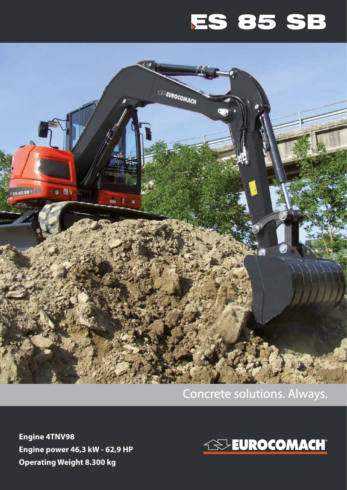## ES 85 SB



## Concrete solutions. Always.

**Engine 4TNV98 Engine power 46,3 kW - 62,9 HP Operating Weight 8.300 kg**